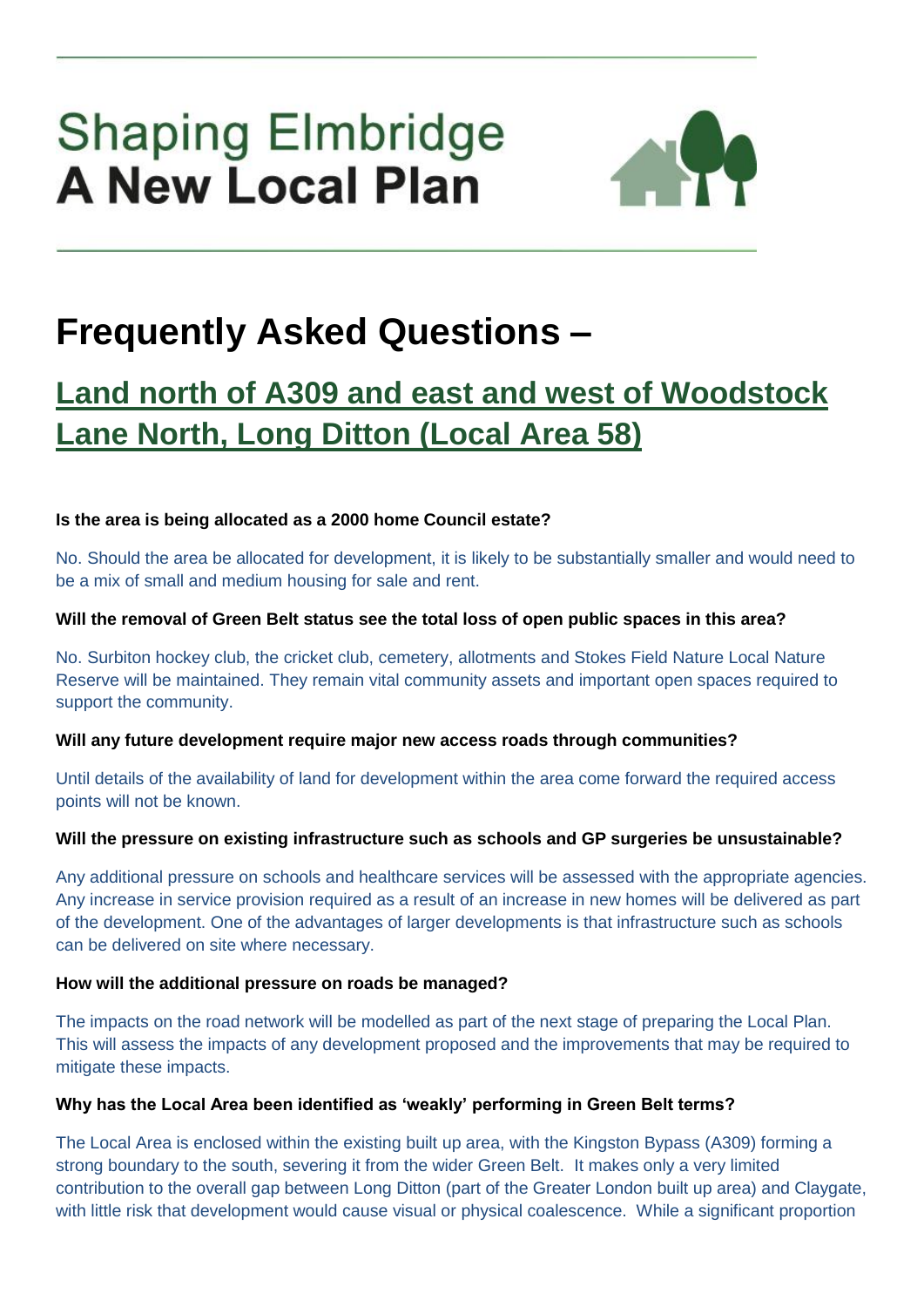# **Shaping Elmbridge A New Local Plan**



## **Frequently Asked Questions –**

### **Land north of A309 and east and west of Woodstock Lane North, Long Ditton (Local Area 58)**

#### **Is the area is being allocated as a 2000 home Council estate?**

No. Should the area be allocated for development, it is likely to be substantially smaller and would need to be a mix of small and medium housing for sale and rent.

#### **Will the removal of Green Belt status see the total loss of open public spaces in this area?**

No. Surbiton hockey club, the cricket club, cemetery, allotments and Stokes Field Nature Local Nature Reserve will be maintained. They remain vital community assets and important open spaces required to support the community.

#### **Will any future development require major new access roads through communities?**

Until details of the availability of land for development within the area come forward the required access points will not be known.

#### **Will the pressure on existing infrastructure such as schools and GP surgeries be unsustainable?**

Any additional pressure on schools and healthcare services will be assessed with the appropriate agencies. Any increase in service provision required as a result of an increase in new homes will be delivered as part of the development. One of the advantages of larger developments is that infrastructure such as schools can be delivered on site where necessary.

#### **How will the additional pressure on roads be managed?**

The impacts on the road network will be modelled as part of the next stage of preparing the Local Plan. This will assess the impacts of any development proposed and the improvements that may be required to mitigate these impacts.

#### **Why has the Local Area been identified as 'weakly' performing in Green Belt terms?**

The Local Area is enclosed within the existing built up area, with the Kingston Bypass (A309) forming a strong boundary to the south, severing it from the wider Green Belt. It makes only a very limited contribution to the overall gap between Long Ditton (part of the Greater London built up area) and Claygate, with little risk that development would cause visual or physical coalescence. While a significant proportion